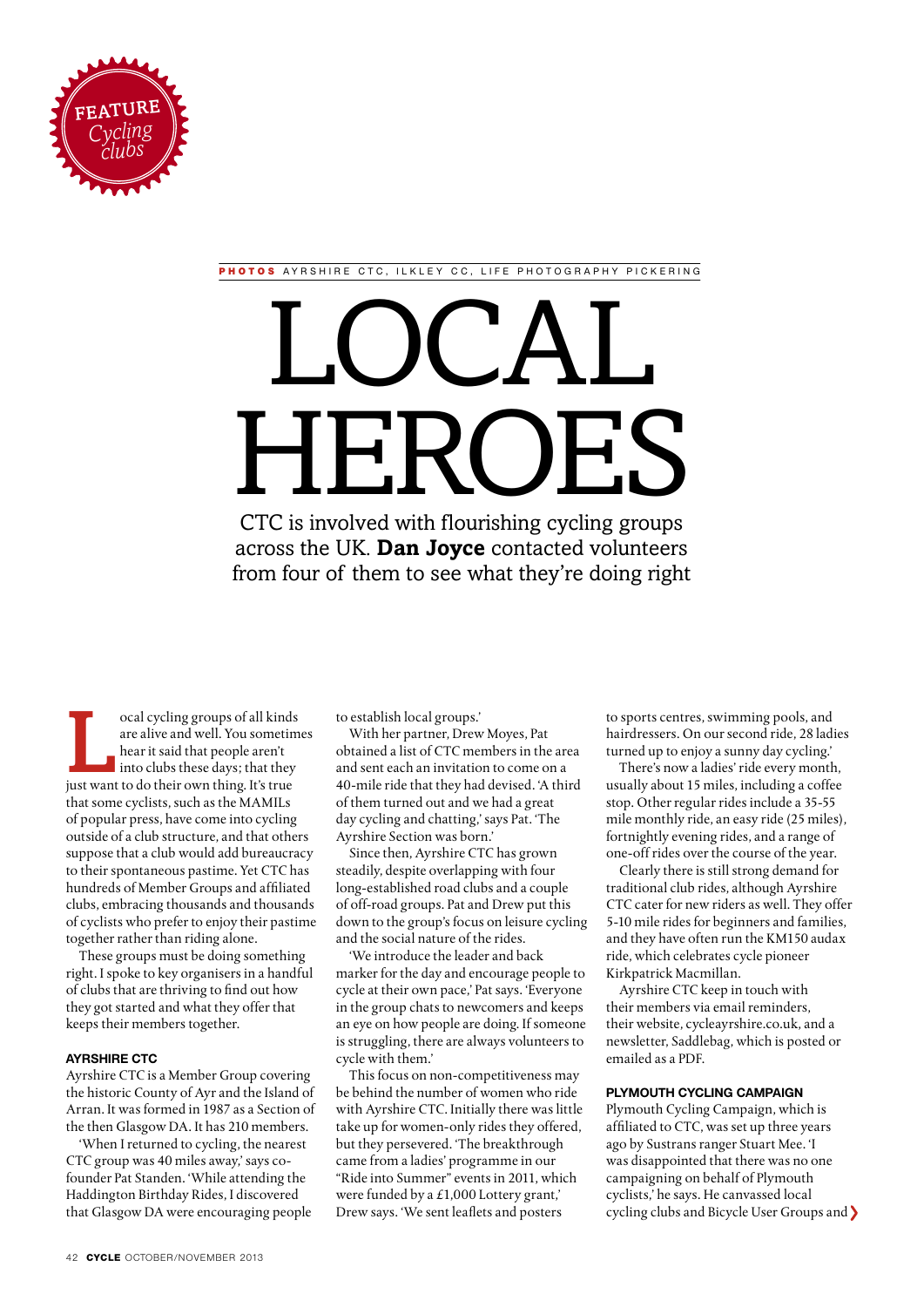

PHOTOS AYRSHIRE CTC, ILKLEY CC, LIFE PHOTOGRAPHY PICKERING

# CTC is involved with flourishing cycling groups LOCAL **HERO**

across the UK. **Dan Joyce** contacted volunteers from four of them to see what they're doing right

ocal cycling groups of all kinds<br>are alive and well. You sometim<br>hear it said that people aren't<br>into clubs these days; that they<br>just want to do their own thing. It's true are alive and well. You sometimes hear it said that people aren't into clubs these days; that they just want to do their own thing. It's true that some cyclists, such as the MAMILs of popular press, have come into cycling outside of a club structure, and that others suppose that a club would add bureaucracy to their spontaneous pastime. Yet CTC has hundreds of Member Groups and affiliated clubs, embracing thousands and thousands of cyclists who prefer to enjoy their pastime together rather than riding alone.

These groups must be doing something right. I spoke to key organisers in a handful of clubs that are thriving to find out how they got started and what they offer that keeps their members together.

# **Ayrshire CTC**

Ayrshire CTC is a Member Group covering the historic County of Ayr and the Island of Arran. It was formed in 1987 as a Section of the then Glasgow DA. It has 210 members.

'When I returned to cycling, the nearest CTC group was 40 miles away,' says cofounder Pat Standen. 'While attending the Haddington Birthday Rides, I discovered that Glasgow DA were encouraging people to establish local groups.'

With her partner, Drew Moyes, Pat obtained a list of CTC members in the area and sent each an invitation to come on a 40-mile ride that they had devised. 'A third of them turned out and we had a great day cycling and chatting,' says Pat. 'The Ayrshire Section was born.'

Since then, Ayrshire CTC has grown steadily, despite overlapping with four long-established road clubs and a couple of off-road groups. Pat and Drew put this down to the group's focus on leisure cycling and the social nature of the rides.

'We introduce the leader and back marker for the day and encourage people to cycle at their own pace,' Pat says. 'Everyone in the group chats to newcomers and keeps an eye on how people are doing. If someone is struggling, there are always volunteers to cycle with them.'

This focus on non-competitiveness may be behind the number of women who ride with Ayrshire CTC. Initially there was little take up for women-only rides they offered, but they persevered. 'The breakthrough came from a ladies' programme in our "Ride into Summer" events in 2011, which were funded by a £1,000 Lottery grant,' Drew says. 'We sent leaflets and posters

to sports centres, swimming pools, and hairdressers. On our second ride, 28 ladies turned up to enjoy a sunny day cycling.'

There's now a ladies' ride every month, usually about 15 miles, including a coffee stop. Other regular rides include a 35-55 mile monthly ride, an easy ride (25 miles), fortnightly evening rides, and a range of one-off rides over the course of the year.

Clearly there is still strong demand for traditional club rides, although Ayrshire CTC cater for new riders as well. They offer 5-10 mile rides for beginners and families, and they have often run the KM150 audax ride, which celebrates cycle pioneer Kirkpatrick Macmillan.

Ayrshire CTC keep in touch with their members via email reminders, their website, cycleayrshire.co.uk, and a newsletter, Saddlebag, which is posted or emailed as a PDF.

# **Plymouth Cycling Campaign**

Plymouth Cycling Campaign, which is affiliated to CTC, was set up three years ago by Sustrans ranger Stuart Mee. 'I was disappointed that there was no one campaigning on behalf of Plymouth cyclists,' he says. He canvassed local cycling clubs and Bicycle User Groups and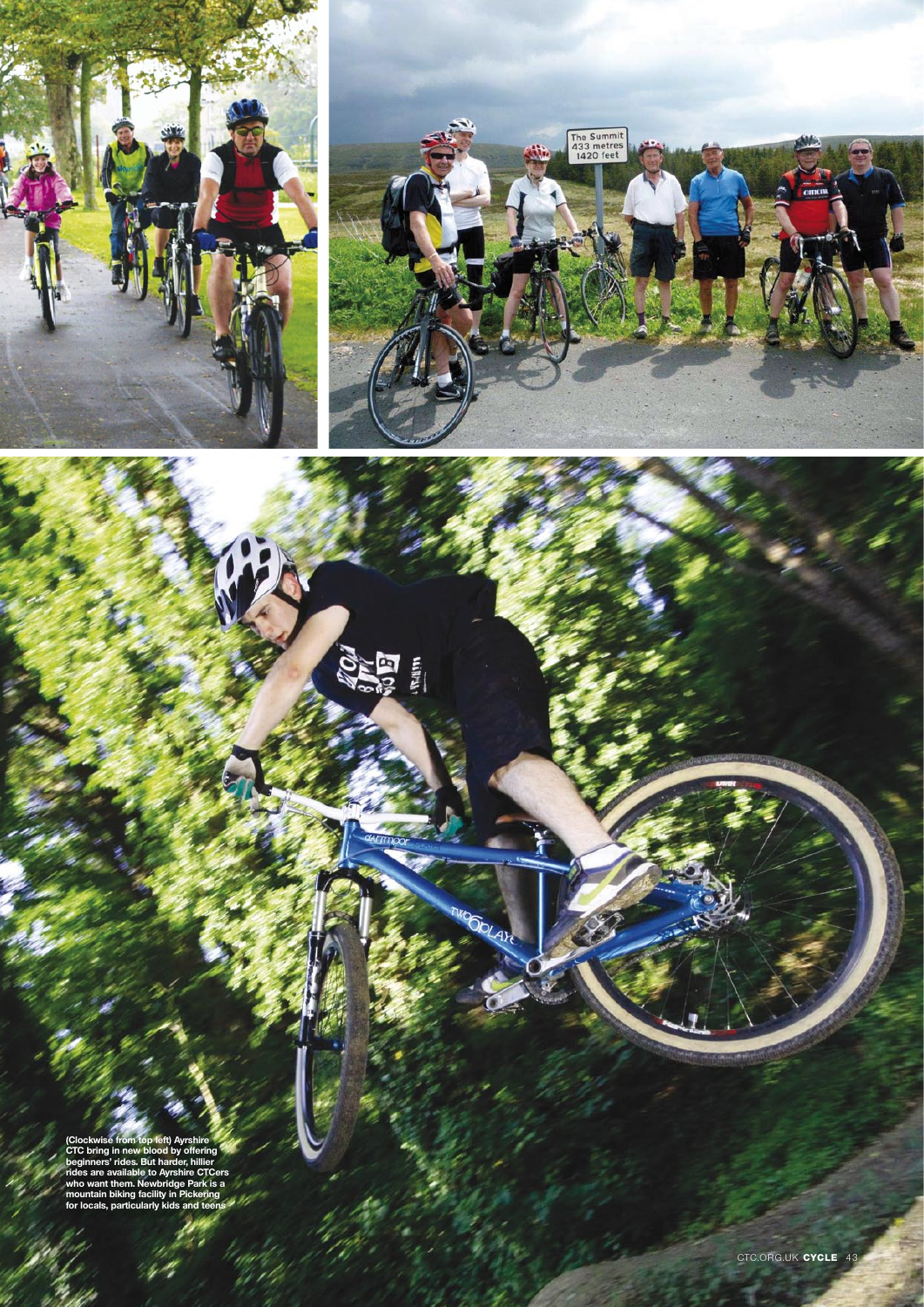

美国

**OOLAH** 



**(Clockwise from top left) Ayrshire CTC bring in new blood by offering beginners' rides. But harder, hillier rides are available to Ayrshire CTCers who want them. Newbridge Park is a mountain biking facility in Pickering for locals, particularly kids and teens**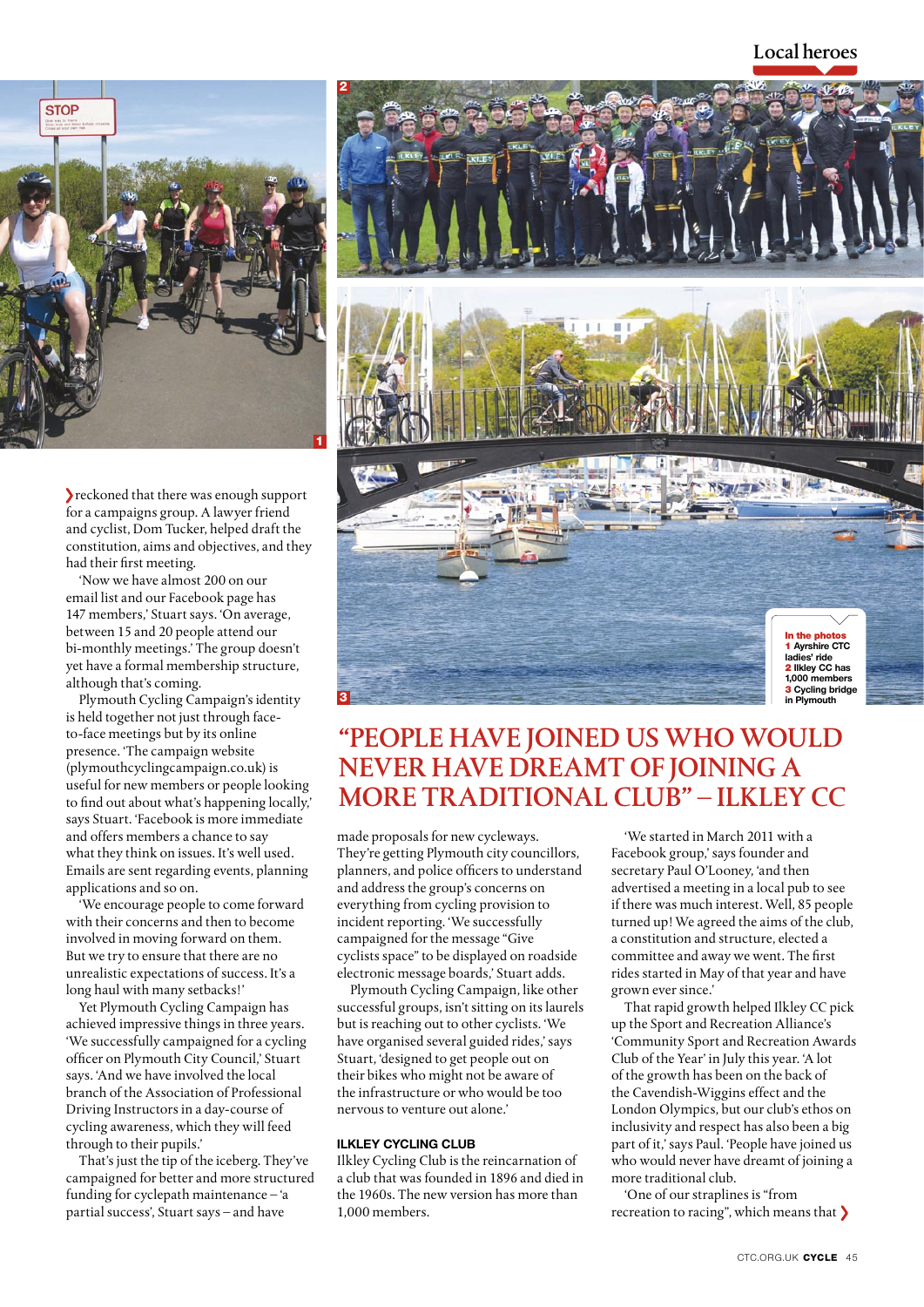# Local heroes



reckoned that there was enough support for a campaigns group. A lawyer friend and cyclist, Dom Tucker, helped draft the constitution, aims and objectives, and they had their first meeting.

'Now we have almost 200 on our email list and our Facebook page has 147 members,' Stuart says. 'On average, between 15 and 20 people attend our bi-monthly meetings.' The group doesn't yet have a formal membership structure, although that's coming.

Plymouth Cycling Campaign's identity is held together not just through faceto-face meetings but by its online presence. 'The campaign website (plymouthcyclingcampaign.co.uk) is useful for new members or people looking to find out about what's happening locally,' says Stuart. 'Facebook is more immediate and offers members a chance to say what they think on issues. It's well used. Emails are sent regarding events, planning applications and so on.

'We encourage people to come forward with their concerns and then to become involved in moving forward on them. But we try to ensure that there are no unrealistic expectations of success. It's a long haul with many setbacks!'

Yet Plymouth Cycling Campaign has achieved impressive things in three years. 'We successfully campaigned for a cycling officer on Plymouth City Council,' Stuart says. 'And we have involved the local branch of the Association of Professional Driving Instructors in a day-course of cycling awareness, which they will feed through to their pupils.'

That's just the tip of the iceberg. They've campaigned for better and more structured funding for cyclepath maintenance – 'a partial success', Stuart says – and have



# "People have joined us who would never have dreamt of joining a more traditional club" – ilkley cc

made proposals for new cycleways. They're getting Plymouth city councillors, planners, and police officers to understand and address the group's concerns on everything from cycling provision to incident reporting. 'We successfully campaigned for the message "Give cyclists space" to be displayed on roadside electronic message boards,' Stuart adds.

Plymouth Cycling Campaign, like other successful groups, isn't sitting on its laurels but is reaching out to other cyclists. 'We have organised several guided rides,' says Stuart, 'designed to get people out on their bikes who might not be aware of the infrastructure or who would be too nervous to venture out alone.'

# **Ilkley Cycling Club**

Ilkley Cycling Club is the reincarnation of a club that was founded in 1896 and died in the 1960s. The new version has more than 1,000 members.

'We started in March 2011 with a Facebook group,' says founder and secretary Paul O'Looney, 'and then advertised a meeting in a local pub to see if there was much interest. Well, 85 people turned up! We agreed the aims of the club, a constitution and structure, elected a committee and away we went. The first rides started in May of that year and have grown ever since.'

That rapid growth helped Ilkley CC pick up the Sport and Recreation Alliance's 'Community Sport and Recreation Awards Club of the Year' in July this year. 'A lot of the growth has been on the back of the Cavendish-Wiggins effect and the London Olympics, but our club's ethos on inclusivity and respect has also been a big part of it,' says Paul. 'People have joined us who would never have dreamt of joining a more traditional club.

'One of our straplines is "from recreation to racing", which means that >